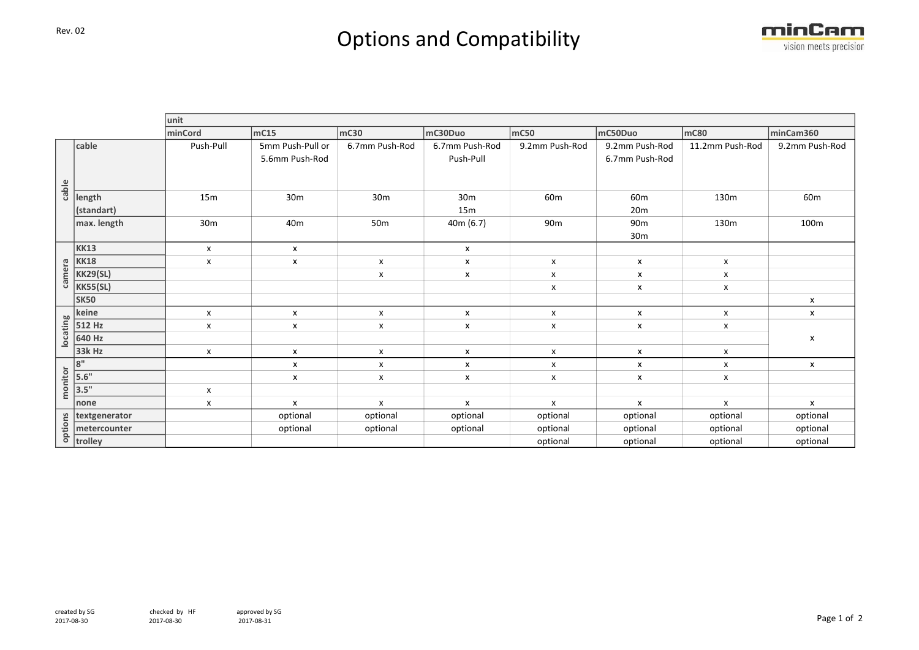## Rev. 02 Rev. 02



|          |                      | unit               |                                    |                    |                             |                    |                                    |                           |                 |  |
|----------|----------------------|--------------------|------------------------------------|--------------------|-----------------------------|--------------------|------------------------------------|---------------------------|-----------------|--|
|          |                      | minCord            | mc15                               | mc30               | mC30Duo                     | mc50               | mC50Duo                            | mC80                      | minCam360       |  |
| cable    | cable                | Push-Pull          | 5mm Push-Pull or<br>5.6mm Push-Rod | 6.7mm Push-Rod     | 6.7mm Push-Rod<br>Push-Pull | 9.2mm Push-Rod     | 9.2mm Push-Rod<br>6.7mm Push-Rod   | 11.2mm Push-Rod           | 9.2mm Push-Rod  |  |
|          | length<br>(standart) | 15m                | 30 <sub>m</sub>                    | 30 <sub>m</sub>    | 30 <sub>m</sub><br>15m      | 60 <sub>m</sub>    | 60 <sub>m</sub><br>20 <sub>m</sub> | 130m                      | 60 <sub>m</sub> |  |
|          | max. length          | 30 <sub>m</sub>    | 40 <sub>m</sub>                    | 50 <sub>m</sub>    | 40m(6.7)                    | 90 <sub>m</sub>    | 90 <sub>m</sub><br>30 <sub>m</sub> | 130m                      | 100m            |  |
| camera   | <b>KK13</b>          | $\mathsf{x}$       | $\boldsymbol{\mathsf{x}}$          |                    | x                           |                    |                                    |                           |                 |  |
|          | <b>KK18</b>          | $\pmb{\mathsf{x}}$ | X                                  | X                  | $\pmb{\mathsf{x}}$          | X                  | X                                  | $\boldsymbol{\mathsf{x}}$ |                 |  |
|          | <b>KK29(SL)</b>      |                    |                                    | X                  | $\pmb{\mathsf{x}}$          | $\pmb{\mathsf{x}}$ | X                                  | $\pmb{\mathsf{x}}$        |                 |  |
|          | <b>KK55(SL)</b>      |                    |                                    |                    |                             | X                  | $\pmb{\mathsf{x}}$                 | $\pmb{\mathsf{X}}$        |                 |  |
|          | <b>SK50</b>          |                    |                                    |                    |                             |                    |                                    |                           | $\pmb{\times}$  |  |
| locating | keine                | X                  | $\boldsymbol{\mathsf{x}}$          | $\pmb{\chi}$       | X                           | $\pmb{\mathsf{X}}$ | X                                  | $\pmb{\chi}$              | $\pmb{\times}$  |  |
|          | 512 Hz               | X                  | X                                  | X                  | X                           | X                  | X                                  | X                         | X               |  |
|          | 640 Hz               |                    |                                    |                    |                             |                    |                                    |                           |                 |  |
|          | 33k Hz               | X                  | $\pmb{\mathsf{X}}$                 | X                  | X                           | $\pmb{\mathsf{X}}$ | $\pmb{\mathsf{x}}$                 | X                         |                 |  |
| monitor  | 8"                   |                    | $\boldsymbol{\mathsf{x}}$          | X                  | $\boldsymbol{\mathsf{x}}$   | $\pmb{\mathsf{X}}$ | x                                  | $\boldsymbol{\mathsf{x}}$ | X               |  |
|          | 5.6"                 |                    | $\pmb{\mathsf{X}}$                 | $\pmb{\mathsf{X}}$ | X                           | $\pmb{\mathsf{X}}$ | $\pmb{\mathsf{X}}$                 | $\pmb{\mathsf{X}}$        |                 |  |
|          | 3.5"                 | $\pmb{\times}$     |                                    |                    |                             |                    |                                    |                           |                 |  |
|          | none                 | $\pmb{\mathsf{x}}$ | $\boldsymbol{\mathsf{x}}$          | X                  | X                           | x                  | X                                  | X                         | x               |  |
| options  | textgenerator        |                    | optional                           | optional           | optional                    | optional           | optional                           | optional                  | optional        |  |
|          | metercounter         |                    | optional                           | optional           | optional                    | optional           | optional                           | optional                  | optional        |  |
|          | trolley              |                    |                                    |                    |                             | optional           | optional                           | optional                  | optional        |  |
|          |                      |                    |                                    |                    |                             |                    |                                    |                           |                 |  |